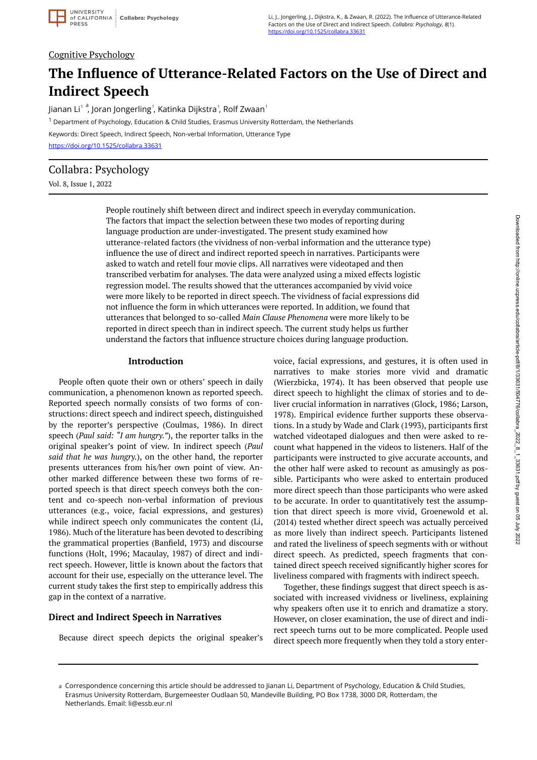# Cognitive Psychology

# **The Influence of Utterance-Related Factors on the Use of Direct and Indirect Speech**

Jianan Li $^{\rm 1-a}$ , Joran Jongerling $^{\rm 1}$ , Katinka Dijkstra $^{\rm 1}$ , Rolf Zwaan $^{\rm 1}$ <sup>1</sup> Department of Psychology, Education & Child Studies, Erasmus University Rotterdam, the Netherlands Keywords: Direct Speech, Indirect Speech, Non-verbal Information, Utterance Type <https://doi.org/10.1525/collabra.33631>

Collabra: Psychology

Vol. 8, Issue 1, 2022

People routinely shift between direct and indirect speech in everyday communication. The factors that impact the selection between these two modes of reporting during language production are under-investigated. The present study examined how utterance-related factors (the vividness of non-verbal information and the utterance type) influence the use of direct and indirect reported speech in narratives. Participants were asked to watch and retell four movie clips. All narratives were videotaped and then transcribed verbatim for analyses. The data were analyzed using a mixed effects logistic regression model. The results showed that the utterances accompanied by vivid voice were more likely to be reported in direct speech. The vividness of facial expressions did not influence the form in which utterances were reported. In addition, we found that utterances that belonged to so-called *Main Clause Phenomena* were more likely to be reported in direct speech than in indirect speech. The current study helps us further understand the factors that influence structure choices during language production.

#### **Introduction**

People often quote their own or others' speech in daily communication, a phenomenon known as reported speech. Reported speech normally consists of two forms of constructions: direct speech and indirect speech, distinguished by the reporter's perspective (Coulmas, 1986). In direct speech (*Paul said: "I am hungry."*), the reporter talks in the original speaker's point of view. In indirect speech (*Paul said that he was hungry.*), on the other hand, the reporter presents utterances from his/her own point of view. Another marked difference between these two forms of reported speech is that direct speech conveys both the content and co-speech non-verbal information of previous utterances (e.g., voice, facial expressions, and gestures) while indirect speech only communicates the content (Li, 1986). Much of the literature has been devoted to describing the grammatical properties (Banfield, 1973) and discourse functions (Holt, 1996; Macaulay, 1987) of direct and indirect speech. However, little is known about the factors that account for their use, especially on the utterance level. The current study takes the first step to empirically address this gap in the context of a narrative.

# **Direct and Indirect Speech in Narratives**

Because direct speech depicts the original speaker's

voice, facial expressions, and gestures, it is often used in narratives to make stories more vivid and dramatic (Wierzbicka, 1974). It has been observed that people use direct speech to highlight the climax of stories and to deliver crucial information in narratives (Glock, 1986; Larson, 1978). Empirical evidence further supports these observations. In a study by Wade and Clark (1993), participants first watched videotaped dialogues and then were asked to recount what happened in the videos to listeners. Half of the participants were instructed to give accurate accounts, and the other half were asked to recount as amusingly as possible. Participants who were asked to entertain produced more direct speech than those participants who were asked to be accurate. In order to quantitatively test the assumption that direct speech is more vivid, Groenewold et al. (2014) tested whether direct speech was actually perceived as more lively than indirect speech. Participants listened and rated the liveliness of speech segments with or without direct speech. As predicted, speech fragments that contained direct speech received significantly higher scores for liveliness compared with fragments with indirect speech.

Together, these findings suggest that direct speech is associated with increased vividness or liveliness, explaining why speakers often use it to enrich and dramatize a story. However, on closer examination, the use of direct and indirect speech turns out to be more complicated. People used direct speech more frequently when they told a story enter-

a Correspondence concerning this article should be addressed to Jianan Li, Department of Psychology, Education & Child Studies, Erasmus University Rotterdam, Burgemeester Oudlaan 50, Mandeville Building, PO Box 1738, 3000 DR, Rotterdam, the Netherlands. Email: li@essb.eur.nl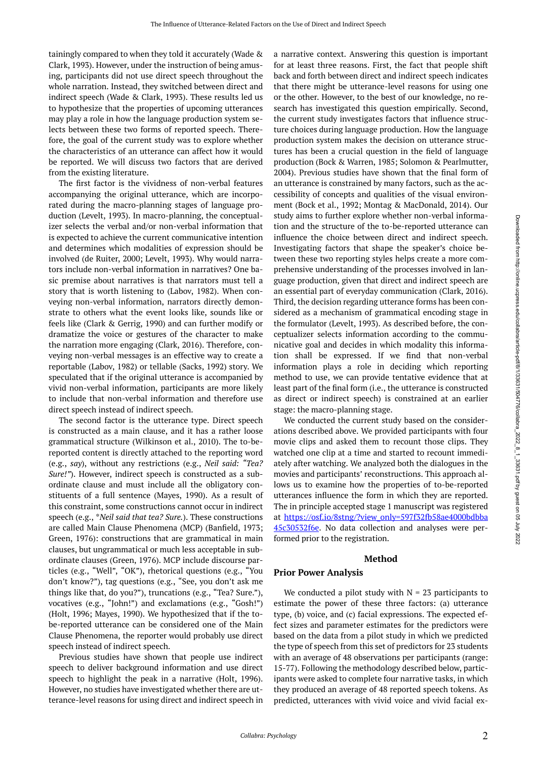tainingly compared to when they told it accurately (Wade & Clark, 1993). However, under the instruction of being amusing, participants did not use direct speech throughout the whole narration. Instead, they switched between direct and indirect speech (Wade & Clark, 1993). These results led us to hypothesize that the properties of upcoming utterances may play a role in how the language production system selects between these two forms of reported speech. Therefore, the goal of the current study was to explore whether the characteristics of an utterance can affect how it would be reported. We will discuss two factors that are derived from the existing literature.

The first factor is the vividness of non-verbal features accompanying the original utterance, which are incorporated during the macro-planning stages of language production (Levelt, 1993). In macro-planning, the conceptualizer selects the verbal and/or non-verbal information that is expected to achieve the current communicative intention and determines which modalities of expression should be involved (de Ruiter, 2000; Levelt, 1993). Why would narrators include non-verbal information in narratives? One basic premise about narratives is that narrators must tell a story that is worth listening to (Labov, 1982). When conveying non-verbal information, narrators directly demonstrate to others what the event looks like, sounds like or feels like (Clark & Gerrig, 1990) and can further modify or dramatize the voice or gestures of the character to make the narration more engaging (Clark, 2016). Therefore, conveying non-verbal messages is an effective way to create a reportable (Labov, 1982) or tellable (Sacks, 1992) story. We speculated that if the original utterance is accompanied by vivid non-verbal information, participants are more likely to include that non-verbal information and therefore use direct speech instead of indirect speech.

The second factor is the utterance type. Direct speech is constructed as a main clause, and it has a rather loose grammatical structure (Wilkinson et al., 2010). The to-bereported content is directly attached to the reporting word (e.g., *say*), without any restrictions (e.g., *Neil said: "Tea? Sure!"*). However, indirect speech is constructed as a subordinate clause and must include all the obligatory constituents of a full sentence (Mayes, 1990). As a result of this constraint, some constructions cannot occur in indirect speech (e.g., \**Neil said that tea? Sure.*). These constructions are called Main Clause Phenomena (MCP) (Banfield, 1973; Green, 1976): constructions that are grammatical in main clauses, but ungrammatical or much less acceptable in subordinate clauses (Green, 1976). MCP include discourse particles (e.g., "Well", "OK"), rhetorical questions (e.g., "You don't know?"), tag questions (e.g., "See, you don't ask me things like that, do you?"), truncations (e.g., "Tea? Sure."), vocatives (e.g., "John!") and exclamations (e.g., "Gosh!") (Holt, 1996; Mayes, 1990). We hypothesized that if the tobe-reported utterance can be considered one of the Main Clause Phenomena, the reporter would probably use direct speech instead of indirect speech.

Previous studies have shown that people use indirect speech to deliver background information and use direct speech to highlight the peak in a narrative (Holt, 1996). However, no studies have investigated whether there are utterance-level reasons for using direct and indirect speech in

a narrative context. Answering this question is important for at least three reasons. First, the fact that people shift back and forth between direct and indirect speech indicates that there might be utterance-level reasons for using one or the other. However, to the best of our knowledge, no research has investigated this question empirically. Second, the current study investigates factors that influence structure choices during language production. How the language production system makes the decision on utterance structures has been a crucial question in the field of language production (Bock & Warren, 1985; Solomon & Pearlmutter, 2004). Previous studies have shown that the final form of an utterance is constrained by many factors, such as the accessibility of concepts and qualities of the visual environment (Bock et al., 1992; Montag & MacDonald, 2014). Our study aims to further explore whether non-verbal information and the structure of the to-be-reported utterance can influence the choice between direct and indirect speech. Investigating factors that shape the speaker's choice between these two reporting styles helps create a more comprehensive understanding of the processes involved in language production, given that direct and indirect speech are an essential part of everyday communication (Clark, 2016). Third, the decision regarding utterance forms has been considered as a mechanism of grammatical encoding stage in the formulator (Levelt, 1993). As described before, the conceptualizer selects information according to the communicative goal and decides in which modality this information shall be expressed. If we find that non-verbal information plays a role in deciding which reporting method to use, we can provide tentative evidence that at least part of the final form (i.e., the utterance is constructed as direct or indirect speech) is constrained at an earlier stage: the macro-planning stage.

We conducted the current study based on the considerations described above. We provided participants with four movie clips and asked them to recount those clips. They watched one clip at a time and started to recount immediately after watching. We analyzed both the dialogues in the movies and participants' reconstructions. This approach allows us to examine how the properties of to-be-reported utterances influence the form in which they are reported. The in principle accepted stage 1 manuscript was registered at [https://osf.io/8stng/?view\\_only=597f32fb58ae4000bdbba](https://osf.io/8stng/?view_only=597f32fb58ae4000bdbba45c30532f6e) [45c30532f6e.](https://osf.io/8stng/?view_only=597f32fb58ae4000bdbba45c30532f6e) No data collection and analyses were performed prior to the registration.

#### **Method**

#### **Prior Power Analysis**

We conducted a pilot study with  $N = 23$  participants to estimate the power of these three factors: (a) utterance type, (b) voice, and (c) facial expressions. The expected effect sizes and parameter estimates for the predictors were based on the data from a pilot study in which we predicted the type of speech from this set of predictors for 23 students with an average of 48 observations per participants (range: 15-77). Following the methodology described below, participants were asked to complete four narrative tasks, in which they produced an average of 48 reported speech tokens. As predicted, utterances with vivid voice and vivid facial ex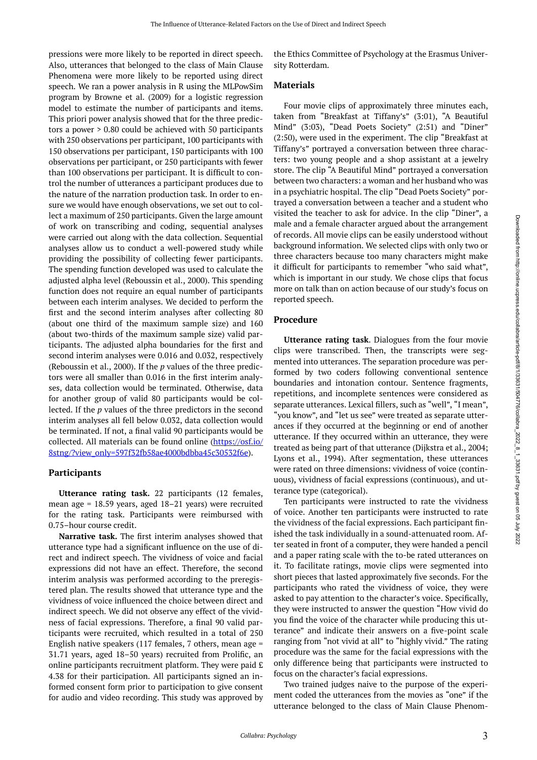pressions were more likely to be reported in direct speech. Also, utterances that belonged to the class of Main Clause Phenomena were more likely to be reported using direct speech. We ran a power analysis in R using the MLPowSim program by Browne et al. (2009) for a logistic regression model to estimate the number of participants and items. This priori power analysis showed that for the three predictors a power > 0.80 could be achieved with 50 participants with 250 observations per participant, 100 participants with 150 observations per participant, 150 participants with 100 observations per participant, or 250 participants with fewer than 100 observations per participant. It is difficult to control the number of utterances a participant produces due to the nature of the narration production task. In order to ensure we would have enough observations, we set out to collect a maximum of 250 participants. Given the large amount of work on transcribing and coding, sequential analyses were carried out along with the data collection. Sequential analyses allow us to conduct a well-powered study while providing the possibility of collecting fewer participants. The spending function developed was used to calculate the adjusted alpha level (Reboussin et al., 2000). This spending function does not require an equal number of participants between each interim analyses. We decided to perform the first and the second interim analyses after collecting 80 (about one third of the maximum sample size) and 160 (about two-thirds of the maximum sample size) valid participants. The adjusted alpha boundaries for the first and second interim analyses were 0.016 and 0.032, respectively (Reboussin et al., 2000). If the *p* values of the three predictors were all smaller than 0.016 in the first interim analyses, data collection would be terminated. Otherwise, data for another group of valid 80 participants would be collected. If the *p* values of the three predictors in the second interim analyses all fell below 0.032, data collection would be terminated. If not, a final valid 90 participants would be collected. All materials can be found online ([https://osf.io/](https://osf.io/8stng/?view_only=597f32fb58ae4000bdbba45c30532f6e) [8stng/?view\\_only=597f32fb58ae4000bdbba45c30532f6e](https://osf.io/8stng/?view_only=597f32fb58ae4000bdbba45c30532f6e)).

#### **Participants**

**Utterance rating task.** 22 participants (12 females, mean age = 18.59 years, aged 18–21 years) were recruited for the rating task. Participants were reimbursed with 0.75–hour course credit.

**Narrative task.** The first interim analyses showed that utterance type had a significant influence on the use of direct and indirect speech. The vividness of voice and facial expressions did not have an effect. Therefore, the second interim analysis was performed according to the preregistered plan. The results showed that utterance type and the vividness of voice influenced the choice between direct and indirect speech. We did not observe any effect of the vividness of facial expressions. Therefore, a final 90 valid participants were recruited, which resulted in a total of 250 English native speakers (117 females, 7 others, mean age = 31.71 years, aged 18–50 years) recruited from Prolific, an online participants recruitment platform. They were paid £ 4.38 for their participation. All participants signed an informed consent form prior to participation to give consent for audio and video recording. This study was approved by

the Ethics Committee of Psychology at the Erasmus University Rotterdam.

# **Materials**

Four movie clips of approximately three minutes each, taken from "Breakfast at Tiffany's" (3:01), "A Beautiful Mind" (3:03), "Dead Poets Society" (2:51) and "Diner" (2:50), were used in the experiment. The clip "Breakfast at Tiffany's" portrayed a conversation between three characters: two young people and a shop assistant at a jewelry store. The clip "A Beautiful Mind" portrayed a conversation between two characters: a woman and her husband who was in a psychiatric hospital. The clip "Dead Poets Society" portrayed a conversation between a teacher and a student who visited the teacher to ask for advice. In the clip "Diner", a male and a female character argued about the arrangement of records. All movie clips can be easily understood without background information. We selected clips with only two or three characters because too many characters might make it difficult for participants to remember "who said what", which is important in our study. We chose clips that focus more on talk than on action because of our study's focus on reported speech.

### **Procedure**

**Utterance rating task**. Dialogues from the four movie clips were transcribed. Then, the transcripts were segmented into utterances. The separation procedure was performed by two coders following conventional sentence boundaries and intonation contour. Sentence fragments, repetitions, and incomplete sentences were considered as separate utterances. Lexical fillers, such as "well", "I mean", "you know", and "let us see" were treated as separate utterances if they occurred at the beginning or end of another utterance. If they occurred within an utterance, they were treated as being part of that utterance (Dijkstra et al., 2004; Lyons et al., 1994). After segmentation, these utterances were rated on three dimensions: vividness of voice (continuous), vividness of facial expressions (continuous), and utterance type (categorical).

Ten participants were instructed to rate the vividness of voice. Another ten participants were instructed to rate the vividness of the facial expressions. Each participant finished the task individually in a sound-attenuated room. After seated in front of a computer, they were handed a pencil and a paper rating scale with the to-be rated utterances on it. To facilitate ratings, movie clips were segmented into short pieces that lasted approximately five seconds. For the participants who rated the vividness of voice, they were asked to pay attention to the character's voice. Specifically, they were instructed to answer the question "How vivid do you find the voice of the character while producing this utterance" and indicate their answers on a five-point scale ranging from "not vivid at all" to "highly vivid." The rating procedure was the same for the facial expressions with the only difference being that participants were instructed to focus on the character's facial expressions.

Two trained judges naive to the purpose of the experiment coded the utterances from the movies as "one" if the utterance belonged to the class of Main Clause Phenom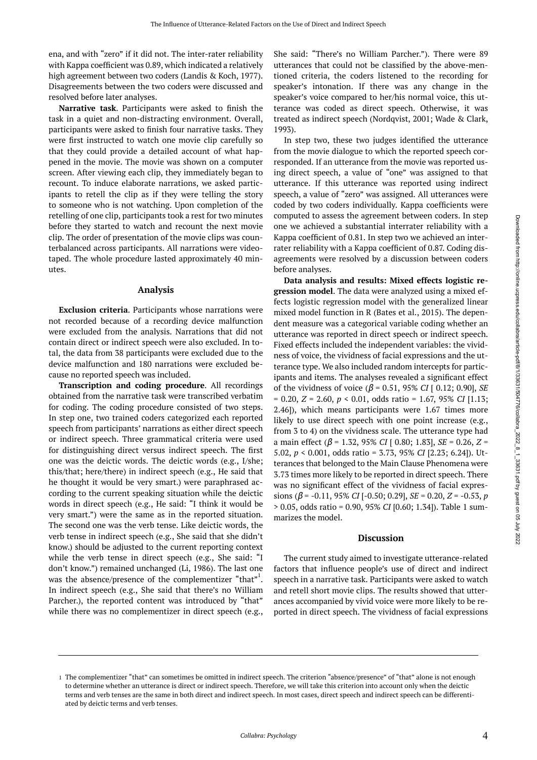ena, and with "zero" if it did not. The inter-rater reliability with Kappa coefficient was 0.89, which indicated a relatively high agreement between two coders (Landis & Koch, 1977). Disagreements between the two coders were discussed and resolved before later analyses.

**Narrative task**. Participants were asked to finish the task in a quiet and non-distracting environment. Overall, participants were asked to finish four narrative tasks. They were first instructed to watch one movie clip carefully so that they could provide a detailed account of what happened in the movie. The movie was shown on a computer screen. After viewing each clip, they immediately began to recount. To induce elaborate narrations, we asked participants to retell the clip as if they were telling the story to someone who is not watching. Upon completion of the retelling of one clip, participants took a rest for two minutes before they started to watch and recount the next movie clip. The order of presentation of the movie clips was counterbalanced across participants. All narrations were videotaped. The whole procedure lasted approximately 40 minutes.

#### **Analysis**

**Exclusion criteria**. Participants whose narrations were not recorded because of a recording device malfunction were excluded from the analysis. Narrations that did not contain direct or indirect speech were also excluded. In total, the data from 38 participants were excluded due to the device malfunction and 180 narrations were excluded because no reported speech was included.

**Transcription and coding procedure**. All recordings obtained from the narrative task were transcribed verbatim for coding. The coding procedure consisted of two steps. In step one, two trained coders categorized each reported speech from participants' narrations as either direct speech or indirect speech. Three grammatical criteria were used for distinguishing direct versus indirect speech. The first one was the deictic words. The deictic words (e.g., I/she; this/that; here/there) in indirect speech (e.g., He said that he thought it would be very smart.) were paraphrased according to the current speaking situation while the deictic words in direct speech (e.g., He said: "I think it would be very smart.") were the same as in the reported situation. The second one was the verb tense. Like deictic words, the verb tense in indirect speech (e.g., She said that she didn't know.) should be adjusted to the current reporting context while the verb tense in direct speech (e.g., She said: "I don't know.") remained unchanged (Li, 1986). The last one was the absence/presence of the complementizer "that"<sup>1</sup>. In indirect speech (e.g., She said that there's no William Parcher.), the reported content was introduced by "that" while there was no complementizer in direct speech (e.g.,

She said: "There's no William Parcher."). There were 89 utterances that could not be classified by the above-mentioned criteria, the coders listened to the recording for speaker's intonation. If there was any change in the speaker's voice compared to her/his normal voice, this utterance was coded as direct speech. Otherwise, it was treated as indirect speech (Nordqvist, 2001; Wade & Clark, 1993).

In step two, these two judges identified the utterance from the movie dialogue to which the reported speech corresponded. If an utterance from the movie was reported using direct speech, a value of "one" was assigned to that utterance. If this utterance was reported using indirect speech, a value of "zero" was assigned. All utterances were coded by two coders individually. Kappa coefficients were computed to assess the agreement between coders. In step one we achieved a substantial interrater reliability with a Kappa coefficient of 0.81. In step two we achieved an interrater reliability with a Kappa coefficient of 0.87. Coding disagreements were resolved by a discussion between coders before analyses.

**Data analysis and results: Mixed effects logistic regression model**. The data were analyzed using a mixed effects logistic regression model with the generalized linear mixed model function in R (Bates et al., 2015). The dependent measure was a categorical variable coding whether an utterance was reported in direct speech or indirect speech. Fixed effects included the independent variables: the vividness of voice, the vividness of facial expressions and the utterance type. We also included random intercepts for participants and items. The analyses revealed a significant effect of the vividness of voice (β = 0.51, 95% *CI* [ 0.12; 0.90], *SE*  = 0.20, *Z* = 2.60, *p* < 0.01, odds ratio = 1.67, 95% *CI* [1.13; 2.46]), which means participants were 1.67 times more likely to use direct speech with one point increase (e.g., from 3 to 4) on the vividness scale. The utterance type had a main effect (β = 1.32, 95% *CI* [ 0.80; 1.83], *SE* = 0.26, *Z* = 5.02, *p* < 0.001, odds ratio = 3.73, 95% *CI* [2.23; 6.24]). Utterances that belonged to the Main Clause Phenomena were 3.73 times more likely to be reported in direct speech. There was no significant effect of the vividness of facial expressions ( $\beta$  = -0.11, 95% *CI* [-0.50; 0.29], *SE* = 0.20, *Z* = -0.53, *p* > 0.05, odds ratio = 0.90, 95% *CI* [0.60; 1.34]). Table 1 summarizes the model.

#### **Discussion**

The current study aimed to investigate utterance-related factors that influence people's use of direct and indirect speech in a narrative task. Participants were asked to watch and retell short movie clips. The results showed that utterances accompanied by vivid voice were more likely to be reported in direct speech. The vividness of facial expressions

<sup>1</sup> The complementizer "that" can sometimes be omitted in indirect speech. The criterion "absence/presence" of "that" alone is not enough to determine whether an utterance is direct or indirect speech. Therefore, we will take this criterion into account only when the deictic terms and verb tenses are the same in both direct and indirect speech. In most cases, direct speech and indirect speech can be differentiated by deictic terms and verb tenses.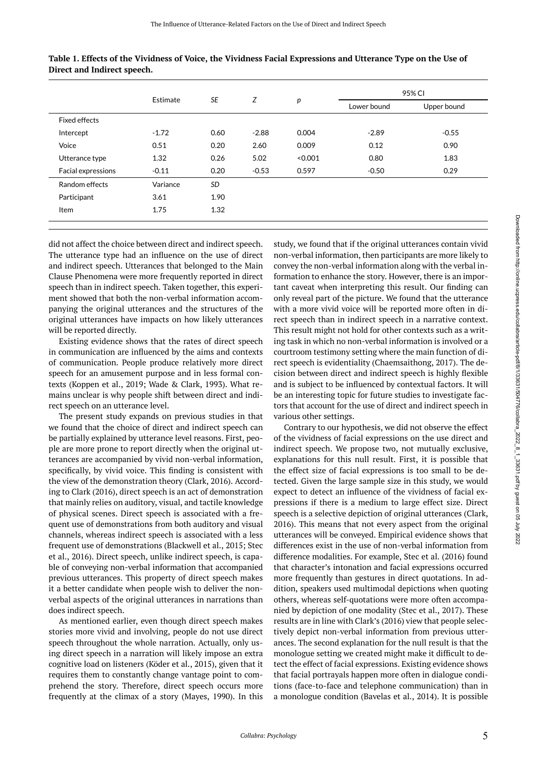|                           | Estimate | <b>SE</b> | Z       | p       | 95% CI      |             |
|---------------------------|----------|-----------|---------|---------|-------------|-------------|
|                           |          |           |         |         | Lower bound | Upper bound |
| <b>Fixed effects</b>      |          |           |         |         |             |             |
| Intercept                 | $-1.72$  | 0.60      | $-2.88$ | 0.004   | $-2.89$     | $-0.55$     |
| Voice                     | 0.51     | 0.20      | 2.60    | 0.009   | 0.12        | 0.90        |
| Utterance type            | 1.32     | 0.26      | 5.02    | < 0.001 | 0.80        | 1.83        |
| <b>Facial expressions</b> | $-0.11$  | 0.20      | $-0.53$ | 0.597   | $-0.50$     | 0.29        |
| Random effects            | Variance | <b>SD</b> |         |         |             |             |
| Participant               | 3.61     | 1.90      |         |         |             |             |
| Item                      | 1.75     | 1.32      |         |         |             |             |

**Table 1. Effects of the Vividness of Voice, the Vividness Facial Expressions and Utterance Type on the Use of Direct and Indirect speech.** 

did not affect the choice between direct and indirect speech. The utterance type had an influence on the use of direct and indirect speech. Utterances that belonged to the Main Clause Phenomena were more frequently reported in direct speech than in indirect speech. Taken together, this experiment showed that both the non-verbal information accompanying the original utterances and the structures of the original utterances have impacts on how likely utterances will be reported directly.

Existing evidence shows that the rates of direct speech in communication are influenced by the aims and contexts of communication. People produce relatively more direct speech for an amusement purpose and in less formal contexts (Koppen et al., 2019; Wade & Clark, 1993). What remains unclear is why people shift between direct and indirect speech on an utterance level.

The present study expands on previous studies in that we found that the choice of direct and indirect speech can be partially explained by utterance level reasons. First, people are more prone to report directly when the original utterances are accompanied by vivid non-verbal information, specifically, by vivid voice. This finding is consistent with the view of the demonstration theory (Clark, 2016). According to Clark (2016), direct speech is an act of demonstration that mainly relies on auditory, visual, and tactile knowledge of physical scenes. Direct speech is associated with a frequent use of demonstrations from both auditory and visual channels, whereas indirect speech is associated with a less frequent use of demonstrations (Blackwell et al., 2015; Stec et al., 2016). Direct speech, unlike indirect speech, is capable of conveying non-verbal information that accompanied previous utterances. This property of direct speech makes it a better candidate when people wish to deliver the nonverbal aspects of the original utterances in narrations than does indirect speech.

As mentioned earlier, even though direct speech makes stories more vivid and involving, people do not use direct speech throughout the whole narration. Actually, only using direct speech in a narration will likely impose an extra cognitive load on listeners (Köder et al., 2015), given that it requires them to constantly change vantage point to comprehend the story. Therefore, direct speech occurs more frequently at the climax of a story (Mayes, 1990). In this study, we found that if the original utterances contain vivid non-verbal information, then participants are more likely to convey the non-verbal information along with the verbal information to enhance the story. However, there is an important caveat when interpreting this result. Our finding can only reveal part of the picture. We found that the utterance with a more vivid voice will be reported more often in direct speech than in indirect speech in a narrative context. This result might not hold for other contexts such as a writing task in which no non-verbal information is involved or a courtroom testimony setting where the main function of direct speech is evidentiality (Chaemsaithong, 2017). The decision between direct and indirect speech is highly flexible and is subject to be influenced by contextual factors. It will be an interesting topic for future studies to investigate factors that account for the use of direct and indirect speech in various other settings.

Contrary to our hypothesis, we did not observe the effect of the vividness of facial expressions on the use direct and indirect speech. We propose two, not mutually exclusive, explanations for this null result. First, it is possible that the effect size of facial expressions is too small to be detected. Given the large sample size in this study, we would expect to detect an influence of the vividness of facial expressions if there is a medium to large effect size. Direct speech is a selective depiction of original utterances (Clark, 2016). This means that not every aspect from the original utterances will be conveyed. Empirical evidence shows that differences exist in the use of non-verbal information from difference modalities. For example, Stec et al. (2016) found that character's intonation and facial expressions occurred more frequently than gestures in direct quotations. In addition, speakers used multimodal depictions when quoting others, whereas self-quotations were more often accompanied by depiction of one modality (Stec et al., 2017). These results are in line with Clark's (2016) view that people selectively depict non-verbal information from previous utterances. The second explanation for the null result is that the monologue setting we created might make it difficult to detect the effect of facial expressions. Existing evidence shows that facial portrayals happen more often in dialogue conditions (face-to-face and telephone communication) than in a monologue condition (Bavelas et al., 2014). It is possible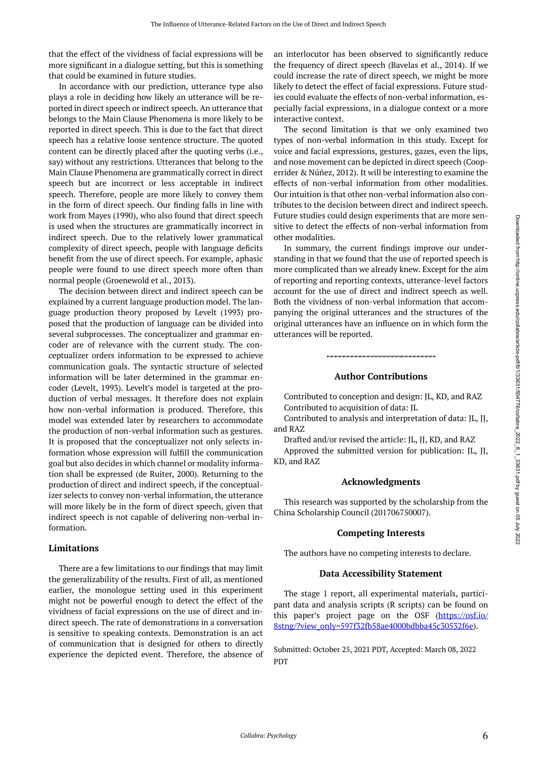that the effect of the vividness of facial expressions will be more significant in a dialogue setting, but this is something that could be examined in future studies.

In accordance with our prediction, utterance type also plays a role in deciding how likely an utterance will be reported in direct speech or indirect speech. An utterance that belongs to the Main Clause Phenomena is more likely to be reported in direct speech. This is due to the fact that direct speech has a relative loose sentence structure. The quoted content can be directly placed after the quoting verbs (i.e., say) without any restrictions. Utterances that belong to the Main Clause Phenomena are grammatically correct in direct speech but are incorrect or less acceptable in indirect speech. Therefore, people are more likely to convey them in the form of direct speech. Our finding falls in line with work from Mayes (1990), who also found that direct speech is used when the structures are grammatically incorrect in indirect speech. Due to the relatively lower grammatical complexity of direct speech, people with language deficits benefit from the use of direct speech. For example, aphasic people were found to use direct speech more often than normal people (Groenewold et al., 2013).

The decision between direct and indirect speech can be explained by a current language production model. The language production theory proposed by Levelt (1993) proposed that the production of language can be divided into several subprocesses. The conceptualizer and grammar encoder are of relevance with the current study. The conceptualizer orders information to be expressed to achieve communication goals. The syntactic structure of selected information will be later determined in the grammar encoder (Levelt, 1993). Levelt's model is targeted at the production of verbal messages. It therefore does not explain how non-verbal information is produced. Therefore, this model was extended later by researchers to accommodate the production of non-verbal information such as gestures. It is proposed that the conceptualizer not only selects information whose expression will fulfill the communication goal but also decides in which channel or modality information shall be expressed (de Ruiter, 2000). Returning to the production of direct and indirect speech, if the conceptualizer selects to convey non-verbal information, the utterance will more likely be in the form of direct speech, given that indirect speech is not capable of delivering non-verbal information.

#### **Limitations**

There are a few limitations to our findings that may limit the generalizability of the results. First of all, as mentioned earlier, the monologue setting used in this experiment might not be powerful enough to detect the effect of the vividness of facial expressions on the use of direct and indirect speech. The rate of demonstrations in a conversation is sensitive to speaking contexts. Demonstration is an act of communication that is designed for others to directly experience the depicted event. Therefore, the absence of an interlocutor has been observed to significantly reduce the frequency of direct speech (Bavelas et al., 2014). If we could increase the rate of direct speech, we might be more likely to detect the effect of facial expressions. Future studies could evaluate the effects of non-verbal information, especially facial expressions, in a dialogue context or a more interactive context.

The second limitation is that we only examined two types of non-verbal information in this study. Except for voice and facial expressions, gestures, gazes, even the lips, and nose movement can be depicted in direct speech (Cooperrider & Núñez, 2012). It will be interesting to examine the effects of non-verbal information from other modalities. Our intuition is that other non-verbal information also contributes to the decision between direct and indirect speech. Future studies could design experiments that are more sensitive to detect the effects of non-verbal information from other modalities.

In summary, the current findings improve our understanding in that we found that the use of reported speech is more complicated than we already knew. Except for the aim of reporting and reporting contexts, utterance-level factors account for the use of direct and indirect speech as well. Both the vividness of non-verbal information that accompanying the original utterances and the structures of the original utterances have an influence on in which form the utterances will be reported.

### **Author Contributions**

Contributed to conception and design: JL, KD, and RAZ Contributed to acquisition of data: JL

Contributed to analysis and interpretation of data: JL, JJ, and RAZ

Drafted and/or revised the article: JL, JJ, KD, and RAZ Approved the submitted version for publication: JL, JJ, KD, and RAZ

#### **Acknowledgments**

This research was supported by the scholarship from the China Scholarship Council (201706750007).

# **Competing Interests**

The authors have no competing interests to declare.

#### **Data Accessibility Statement**

The stage 1 report, all experimental materials, participant data and analysis scripts (R scripts) can be found on this paper's project page on the OSF [\(https://osf.io/](https://osf.io/8stng/?view_only=597f32fb58ae4000bdbba45c30532f6e) [8stng/?view\\_only=597f32fb58ae4000bdbba45c30532f6e\)](https://osf.io/8stng/?view_only=597f32fb58ae4000bdbba45c30532f6e).

Submitted: October 25, 2021 PDT, Accepted: March 08, 2022 PDT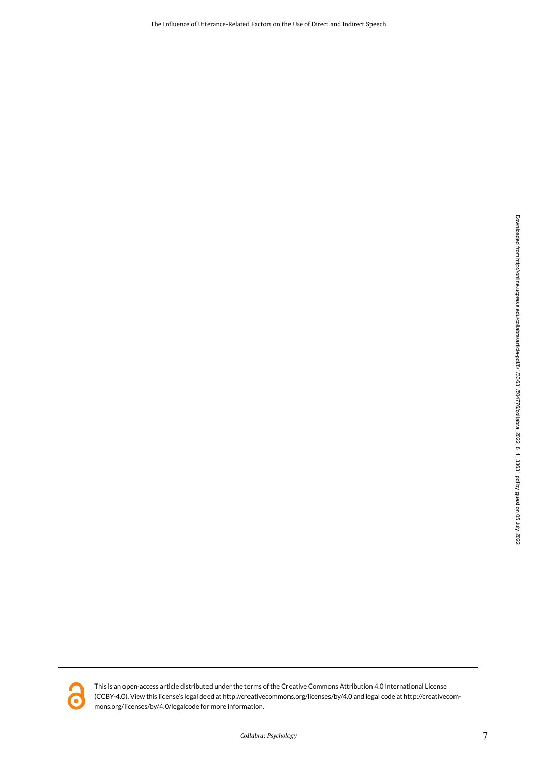The Influence of Utterance-Related Factors on the Use of Direct and Indirect Speech



This is an open-access article distributed under the terms of the Creative Commons Attribution 4.0 International License (CCBY-4.0). View this license's legal deed at http://creativecommons.org/licenses/by/4.0 and legal code at http://creativecommons.org/licenses/by/4.0/legalcode for more information.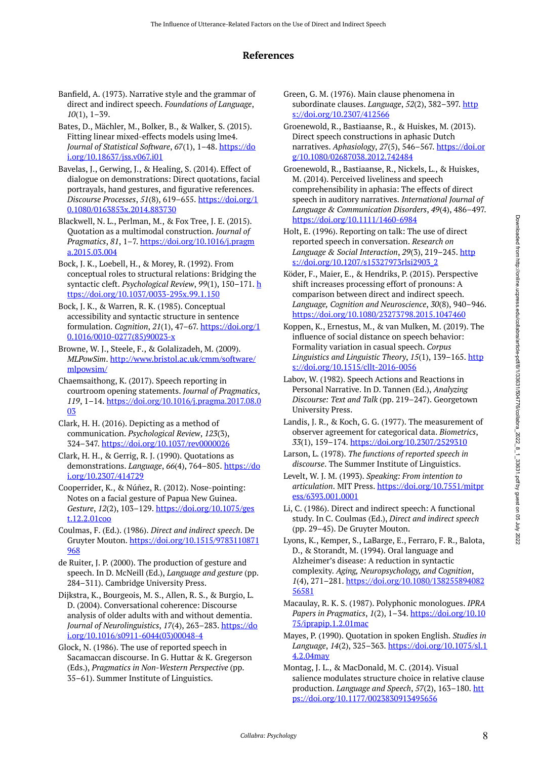# **References**

- Banfield, A. (1973). Narrative style and the grammar of direct and indirect speech. *Foundations of Language*, *10*(1), 1–39.
- Bates, D., Mächler, M., Bolker, B., & Walker, S. (2015). Fitting linear mixed-effects models using lme4. *Journal of Statistical Software*, *67*(1), 1–48. [https://do](https://doi.org/10.18637/jss.v067.i01) [i.org/10.18637/jss.v067.i01](https://doi.org/10.18637/jss.v067.i01)
- Bavelas, J., Gerwing, J., & Healing, S. (2014). Effect of dialogue on demonstrations: Direct quotations, facial portrayals, hand gestures, and figurative references. *Discourse Processes*, *51*(8), 619–655. [https://doi.org/1](https://doi.org/10.1080/0163853x.2014.883730) [0.1080/0163853x.2014.883730](https://doi.org/10.1080/0163853x.2014.883730)
- Blackwell, N. L., Perlman, M., & Fox Tree, J. E. (2015). Quotation as a multimodal construction. *Journal of Pragmatics*, *81*, 1–7. [https://doi.org/10.1016/j.pragm](https://doi.org/10.1016/j.pragma.2015.03.004) [a.2015.03.004](https://doi.org/10.1016/j.pragma.2015.03.004)
- Bock, J. K., Loebell, H., & Morey, R. (1992). From conceptual roles to structural relations: Bridging the syntactic cleft. *Psychological Review*, *99*(1), 150–171. [h](https://doi.org/10.1037/0033-295x.99.1.150) [ttps://doi.org/10.1037/0033-295x.99.1.150](https://doi.org/10.1037/0033-295x.99.1.150)
- Bock, J. K., & Warren, R. K. (1985). Conceptual accessibility and syntactic structure in sentence formulation. *Cognition*, *21*(1), 47–67. [https://doi.org/1](https://doi.org/10.1016/0010-0277(85)90023-x) [0.1016/0010-0277\(85\)90023-x](https://doi.org/10.1016/0010-0277(85)90023-x)
- Browne, W. J., Steele, F., & Golalizadeh, M. (2009). *MLPowSim*. [http://www.bristol.ac.uk/cmm/software/](http://www.bristol.ac.uk/cmm/software/mlpowsim/) [mlpowsim/](http://www.bristol.ac.uk/cmm/software/mlpowsim/)
- Chaemsaithong, K. (2017). Speech reporting in courtroom opening statements. *Journal of Pragmatics*, *119*, 1–14. [https://doi.org/10.1016/j.pragma.2017.08.0](https://doi.org/10.1016/j.pragma.2017.08.003) [03](https://doi.org/10.1016/j.pragma.2017.08.003)
- Clark, H. H. (2016). Depicting as a method of communication. *Psychological Review*, *123*(3), 324–347. <https://doi.org/10.1037/rev0000026>
- Clark, H. H., & Gerrig, R. J. (1990). Quotations as demonstrations. *Language*, *66*(4), 764–805. [https://do](https://doi.org/10.2307/414729) [i.org/10.2307/414729](https://doi.org/10.2307/414729)
- Cooperrider, K., & Núñez, R. (2012). Nose-pointing: Notes on a facial gesture of Papua New Guinea. *Gesture*, *12*(2), 103–129. [https://doi.org/10.1075/ges](https://doi.org/10.1075/gest.12.2.01coo) [t.12.2.01coo](https://doi.org/10.1075/gest.12.2.01coo)
- Coulmas, F. (Ed.). (1986). *Direct and indirect speech*. De Gruyter Mouton. [https://doi.org/10.1515/9783110871](https://doi.org/10.1515/9783110871968) [968](https://doi.org/10.1515/9783110871968)
- de Ruiter, J. P. (2000). The production of gesture and speech. In D. McNeill (Ed.), *Language and gesture* (pp. 284–311). Cambridge University Press.
- Dijkstra, K., Bourgeois, M. S., Allen, R. S., & Burgio, L. D. (2004). Conversational coherence: Discourse analysis of older adults with and without dementia. Journal of Neurolinguistics, 17(4), 263-283. [https://do](https://doi.org/10.1016/s0911-6044(03)00048-4) [i.org/10.1016/s0911-6044\(03\)00048-4](https://doi.org/10.1016/s0911-6044(03)00048-4)
- Glock, N. (1986). The use of reported speech in Sacamaccan discourse. In G. Huttar & K. Gregerson (Eds.), *Pragmatics in Non-Western Perspective* (pp. 35–61). Summer Institute of Linguistics.
- Green, G. M. (1976). Main clause phenomena in subordinate clauses. *Language*, 52(2), 382-397. [http](https://doi.org/10.2307/412566) [s://doi.org/10.2307/412566](https://doi.org/10.2307/412566)
- Groenewold, R., Bastiaanse, R., & Huiskes, M. (2013). Direct speech constructions in aphasic Dutch narratives. *Aphasiology*, *27*(5), 546–567. [https://doi.or](https://doi.org/10.1080/02687038.2012.742484) [g/10.1080/02687038.2012.742484](https://doi.org/10.1080/02687038.2012.742484)
- Groenewold, R., Bastiaanse, R., Nickels, L., & Huiskes, M. (2014). Perceived liveliness and speech comprehensibility in aphasia: The effects of direct speech in auditory narratives. *International Journal of Language & Communication Disorders*, *49*(4), 486–497. <https://doi.org/10.1111/1460-6984>
- Holt, E. (1996). Reporting on talk: The use of direct reported speech in conversation. *Research on Language & Social Interaction, 29(3), 219-245.* [http](https://doi.org/10.1207/s15327973rlsi2903_2) [s://doi.org/10.1207/s15327973rlsi2903\\_2](https://doi.org/10.1207/s15327973rlsi2903_2)
- Köder, F., Maier, E., & Hendriks, P. (2015). Perspective shift increases processing effort of pronouns: A comparison between direct and indirect speech. *Language, Cognition and Neuroscience*, *30*(8), 940–946. <https://doi.org/10.1080/23273798.2015.1047460>
- Koppen, K., Ernestus, M., & van Mulken, M. (2019). The influence of social distance on speech behavior: Formality variation in casual speech. *Corpus Linguistics and Linguistic Theory, 15(1), 139-165.* [http](https://doi.org/10.1515/cllt-2016-0056) [s://doi.org/10.1515/cllt-2016-0056](https://doi.org/10.1515/cllt-2016-0056)
- Labov, W. (1982). Speech Actions and Reactions in Personal Narrative. In D. Tannen (Ed.), *Analyzing Discourse: Text and Talk* (pp. 219–247). Georgetown University Press.
- Landis, J. R., & Koch, G. G. (1977). The measurement of observer agreement for categorical data. *Biometrics*, *33*(1), 159–174.<https://doi.org/10.2307/2529310>
- Larson, L. (1978). *The functions of reported speech in discourse*. The Summer Institute of Linguistics.
- Levelt, W. J. M. (1993). *Speaking: From intention to articulation*. MIT Press. [https://doi.org/10.7551/mitpr](https://doi.org/10.7551/mitpress/6393.001.0001) [ess/6393.001.0001](https://doi.org/10.7551/mitpress/6393.001.0001)
- Li, C. (1986). Direct and indirect speech: A functional study. In C. Coulmas (Ed.), *Direct and indirect speech*  (pp. 29–45). De Gruyter Mouton.
- Lyons, K., Kemper, S., LaBarge, E., Ferraro, F. R., Balota, D., & Storandt, M. (1994). Oral language and Alzheimer's disease: A reduction in syntactic complexity. *Aging, Neuropsychology, and Cognition*, *1*(4), 271–281. [https://doi.org/10.1080/138255894082](https://doi.org/10.1080/13825589408256581) [56581](https://doi.org/10.1080/13825589408256581)
- Macaulay, R. K. S. (1987). Polyphonic monologues. *IPRA Papers in Pragmatics*, *1*(2), 1–34. [https://doi.org/10.10](https://doi.org/10.1075/iprapip.1.2.01mac) [75/iprapip.1.2.01mac](https://doi.org/10.1075/iprapip.1.2.01mac)
- Mayes, P. (1990). Quotation in spoken English. *Studies in Language*, *14*(2), 325–363. [https://doi.org/10.1075/sl.1](https://doi.org/10.1075/sl.14.2.04may) [4.2.04may](https://doi.org/10.1075/sl.14.2.04may)
- Montag, J. L., & MacDonald, M. C. (2014). Visual salience modulates structure choice in relative clause production. *Language and Speech*, *57*(2), 163–180. [htt](https://doi.org/10.1177/0023830913495656) [ps://doi.org/10.1177/0023830913495656](https://doi.org/10.1177/0023830913495656)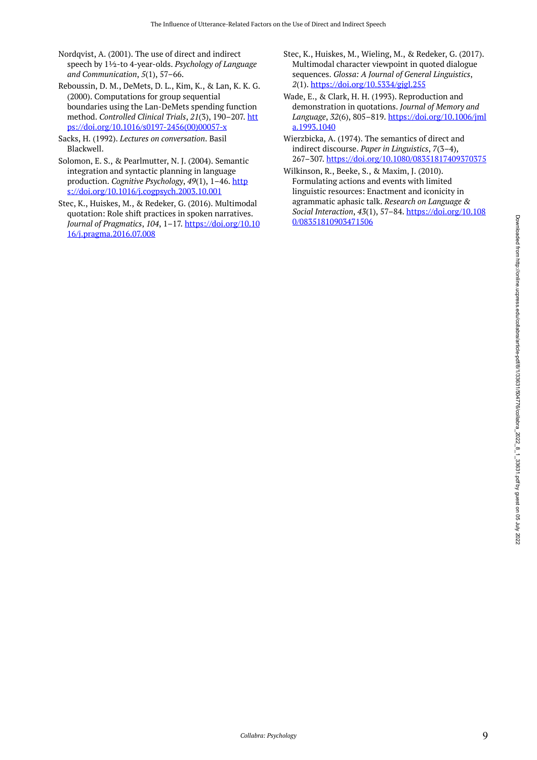- Nordqvist, A. (2001). The use of direct and indirect speech by 1½-to 4-year-olds. *Psychology of Language and Communication*, *5*(1), 57–66.
- Reboussin, D. M., DeMets, D. L., Kim, K., & Lan, K. K. G. (2000). Computations for group sequential boundaries using the Lan-DeMets spending function method. *Controlled Clinical Trials*, *21*(3), 190–207. [htt](https://doi.org/10.1016/s0197-2456(00)00057-x) [ps://doi.org/10.1016/s0197-2456\(00\)00057-x](https://doi.org/10.1016/s0197-2456(00)00057-x)
- Sacks, H. (1992). *Lectures on conversation*. Basil Blackwell.
- Solomon, E. S., & Pearlmutter, N. J. (2004). Semantic integration and syntactic planning in language production. *Cognitive Psychology*, *49*(1), 1–46. [http](https://doi.org/10.1016/j.cogpsych.2003.10.001) [s://doi.org/10.1016/j.cogpsych.2003.10.001](https://doi.org/10.1016/j.cogpsych.2003.10.001)
- Stec, K., Huiskes, M., & Redeker, G. (2016). Multimodal quotation: Role shift practices in spoken narratives. *Journal of Pragmatics*, *104*, 1–17. [https://doi.org/10.10](https://doi.org/10.1016/j.pragma.2016.07.008) [16/j.pragma.2016.07.008](https://doi.org/10.1016/j.pragma.2016.07.008)
- Stec, K., Huiskes, M., Wieling, M., & Redeker, G. (2017). Multimodal character viewpoint in quoted dialogue sequences. *Glossa: A Journal of General Linguistics*, *2*(1). <https://doi.org/10.5334/gjgl.255>
- Wade, E., & Clark, H. H. (1993). Reproduction and demonstration in quotations. *Journal of Memory and Language*, *32*(6), 805–819. [https://doi.org/10.1006/jml](https://doi.org/10.1006/jmla.1993.1040) [a.1993.1040](https://doi.org/10.1006/jmla.1993.1040)
- Wierzbicka, A. (1974). The semantics of direct and indirect discourse. *Paper in Linguistics*, *7*(3–4), 267–307. <https://doi.org/10.1080/08351817409370375>
- Wilkinson, R., Beeke, S., & Maxim, J. (2010). Formulating actions and events with limited linguistic resources: Enactment and iconicity in agrammatic aphasic talk. *Research on Language & Social Interaction*, *43*(1), 57–84. [https://doi.org/10.108](https://doi.org/10.1080/08351810903471506) [0/08351810903471506](https://doi.org/10.1080/08351810903471506)